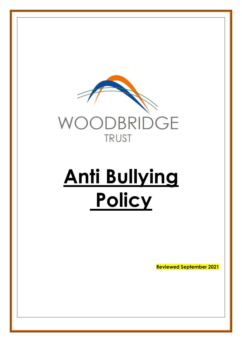

# **Anti Bullying Policy**

**Reviewed September 2021**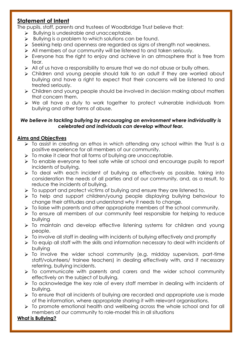# **Statement of Intent**

The pupils, staff, parents and trustees of Woodbridge Trust believe that:

- $\triangleright$  Bullying is undesirable and unacceptable.
- $\triangleright$  Bullying is a problem to which solutions can be found.
- Seeking help and openness are regarded as signs of strength not weakness.
- > All members of our community will be listened to and taken seriously.
- $\triangleright$  Everyone has the right to enjoy and achieve in an atmosphere that is free from fear.
- All of us have a responsibility to ensure that we do not abuse or bully others.
- Children and young people should talk to an adult if they are worried about bullying and have a right to expect that their concerns will be listened to and treated seriously.
- Children and young people should be involved in decision making about matters that concern them.
- We all have a duty to work together to protect vulnerable individuals from bullying and other forms of abuse.

# *We believe in tackling bullying by encouraging an environment where individuality is celebrated and individuals can develop without fear.*

# **Aims and Objectives**

- $\triangleright$  To assist in creating an ethos in which attending any school within the Trust is a positive experience for all members of our community.
- $\triangleright$  To make it clear that all forms of bullying are unacceptable.
- $\triangleright$  To enable everyone to feel safe while at school and encourage pupils to report incidents of bullying.
- To deal with each incident of bullying as effectively as possible, taking into consideration the needs of all parties and of our community, and, as a result, to reduce the incidents of bullying.
- > To support and protect victims of bullying and ensure they are listened to.
- To help and support children/young people displaying bullying behaviour to change their attitudes and understand why it needs to change.
- $\triangleright$  To liaise with parents and other appropriate members of the school community.
- To ensure all members of our community feel responsible for helping to reduce bullying
- To maintain and develop effective listening systems for children and young people.
- $\triangleright$  To involve all staff in dealing with incidents of bullying effectively and promptly
- To equip all staff with the skills and information necessary to deal with incidents of bullying
- $\triangleright$  To involve the wider school community (e.g. midday supervisors, part-time staff/volunteers/ trainee teachers) in dealing effectively with, and if necessary referring, bullying incidents.
- $\triangleright$  To communicate with parents and carers and the wider school community effectively on the subject of bullying.
- To acknowledge the key role of every staff member in dealing with incidents of bullying.
- $\triangleright$  To ensure that all incidents of bullying are recorded and appropriate use is made of the information, where appropriate sharing it with relevant organisations.
- To promote emotional health and wellbeing across the whole school and for all members of our community to role-model this in all situations

# **What is Bullying?**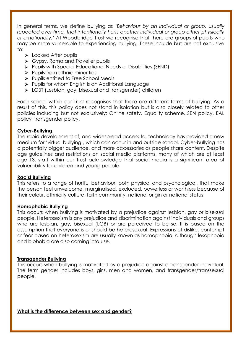In general terms, we define bullying as *'Behaviour by an individual or group, usually repeated over time, that intentionally hurts another individual or group either physically or emotionally.'* At Woodbridge Trust we recognise that there are groups of pupils who may be more vulnerable to experiencing bullying. These include but are not exclusive to:

- $\triangleright$  Looked After pupils
- Sypsy, Roma and Traveller pupils
- Pupils with Special Educational Needs or Disabilities (SEND)
- $\triangleright$  Pupils from ethnic minorities
- $\triangleright$  Pupils entitled to Free School Meals
- $\triangleright$  Pupils for whom English is an Additional Language
- LGBT (Lesbian, gay, bisexual and transgender) children

Each school within our Trust recognises that there are different forms of bullying. As a result of this, this policy does not stand in isolation but is also closely related to other policies including but not exclusively; Online safety, Equality scheme, SEN policy, EAL policy, transgender policy.

### **Cyber-Bullying**

The rapid development of, and widespread access to, technology has provided a new medium for 'virtual bullying', which can occur in and outside school. Cyber-bullying has a potentially bigger audience, and more accessories as people share content. Despite age guidelines and restrictions on social media platforms, many of which are at least age 13, staff within our Trust acknowledge that social media is a significant area of vulnerability for children and young people.

#### **Racist Bullying**

This refers to a range of hurtful behaviour, both physical and psychological, that make the person feel unwelcome, marginalised, excluded, powerless or worthless because of their colour, ethnicity culture, faith community, national origin or national status.

#### **Homophobic Bullying**

This occurs when bullying is motivated by a prejudice against lesbian, gay or bisexual people. Heterosexism is any prejudice and discrimination against individuals and groups who are lesbian, gay, bisexual (LGB) or are perceived to be so. It is based on the assumption that everyone is or should be heterosexual. Expressions of dislike, contempt or fear based on heterosexism are usually known as homophobia, although lesophobia and biphobia are also coming into use.

### **Transgender Bullying**

This occurs when bullying is motivated by a prejudice against a transgender individual. The term gender includes boys, girls, men and women, and transgender/transsexual people.

**What is the difference between sex and gender?**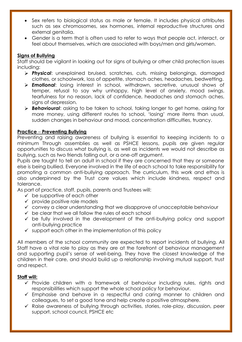- Sex refers to biological status as male or female. It includes physical attributes such as sex chromosomes, sex hormones, internal reproductive structures and external genitalia.
- Gender is a term that is often used to refer to ways that people act, interact, or feel about themselves, which are associated with boys/men and girls/women.

# **Signs of Bullying**

Staff should be vigilant in looking out for signs of bullying or other child protection issues including:

- *Physical*: unexplained bruised, scratches, cuts, missing belongings, damaged clothes, or schoolwork, loss of appetite, stomach aches, headaches, bedwetting.
- *Emotional*: losing interest in school, withdrawn, secretive, unusual shows of temper, refusal to say why unhappy, high level of anxiety, mood swings, tearfulness for no reason, lack of confidence, headaches and stomach aches, signs of depression.
- *Behavioural*: asking to be taken to school, taking longer to get home, asking for more money, using different routes to school, 'losing' more items than usual, sudden changes in behaviour and mood, concentration difficulties, truancy.

# **Practice** – **Preventing Bullying**

Preventing and raising awareness of bullying is essential to keeping incidents to a minimum Through assemblies as well as PSHCE lessons, pupils are given regular opportunities to discuss what bullying is, as well as incidents we would not describe as bullying, such as two friends falling out, or a one-off argument.

Pupils are taught to tell an adult in school if they are concerned that they or someone else is being bullied. Everyone involved in the life of each school to take responsibility for promoting a common anti-bullying approach. The curriculum, this work and ethos is also underpinned by the Trust core values which include kindness, respect and tolerance.

As part of practice, staff, pupils, parents and Trustees will:

- $\checkmark$  be supportive of each other
- $\checkmark$  provide positive role models
- $\checkmark$  convey a clear understanding that we disapprove of unacceptable behaviour
- $\checkmark$  be clear that we all follow the rules of each school
- $\checkmark$  be fully involved in the development of the anti-bullying policy and support anti-bullying practice
- $\checkmark$  support each other in the implementation of this policy

All members of the school community are expected to report incidents of bullying. All Staff have a vital role to play as they are at the forefront of behaviour management and supporting pupil's sense of well-being. They have the closest knowledge of the children in their care, and should build up a relationship involving mutual support, trust and respect.

### **Staff will:**

- $\checkmark$  Provide children with a framework of behaviour including rules, rights and responsibilities which support the whole school policy for behaviour.
- $\checkmark$  Emphasise and behave in a respectful and caring manner to children and colleagues, to set a good tone and help create a positive atmosphere.
- $\checkmark$  Raise awareness of bullying through activities, stories, role-play, discussion, peer support, school council, PSHCE etc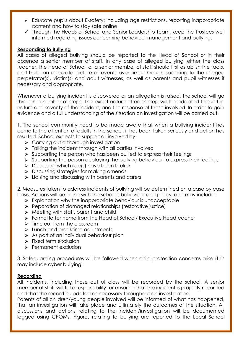- $\checkmark$  Educate pupils about E-safety; including age restrictions, reporting inappropriate content and how to stay safe online
- Through the Heads of School and Senior Leadership Team, keep the Trustees well informed regarding issues concerning behaviour management and bullying.

# **Responding to Bullying**

All cases of alleged bullying should be reported to the Head of School or in their absence a senior member of staff. In any case of alleged bullying, either the class teacher, the Head of School, or a senior member of staff should first establish the facts, and build an accurate picture of events over time, through speaking to the alleged perpetrator(s), victim(s) and adult witnesses, as well as parents and pupil witnesses if necessary and appropriate.

Whenever a bullying incident is discovered or an allegation is raised, the school will go through a number of steps. The exact nature of each step will be adapted to suit the nature and severity of the incident, and the response of those involved. In order to gain evidence and a full understanding of the situation an investigation will be carried out.

1. The school community need to be made aware that when a bullying incident has come to the attention of adults in the school, it has been taken seriously and action has resulted. School expects to support all involved by:

- > Carrying out a thorough investigation
- $\triangleright$  Talking the incident through with all parties involved
- $\triangleright$  Supporting the person who has been bullied to express their feelings
- $\triangleright$  Supporting the person displaying the bullying behaviour to express their feelings
- $\triangleright$  Discussing which rule(s) have been broken
- $\triangleright$  Discussing strategies for making amends
- $\triangleright$  Liaising and discussing with parents and carers

2. Measures taken to address incidents of bullying will be determined on a case by case basis. Actions will be in line with the school's behaviour and policy, and may include:

- $\triangleright$  Explanation why the inappropriate behaviour is unacceptable
- Reparation of damaged relationships (restorative justice)
- $\triangleright$  Meeting with staff, parent and child
- Formal letter home from the Head of School/ Executive Headteacher
- $\triangleright$  Time out from the classroom
- $\triangleright$  Lunch and breaktime adjustments
- $\triangleright$  As part of an individual behaviour plan
- $\triangleright$  Fixed term exclusion
- Permanent exclusion

3. Safeguarding procedures will be followed when child protection concerns arise (this may include cyber bullying)

### **Recording**

All incidents, including those out of class will be recorded by the school. A senior member of staff will take responsibility for ensuring that the incident is properly recorded and that the record is updated as necessary throughout an investigation.

Parents of all children/young people involved will be informed of what has happened, that an investigation will take place and ultimately the outcomes of the situation. All discussions and actions relating to the incident/investigation will be documented logged using CPOMs. Figures relating to bullying are reported to the Local School